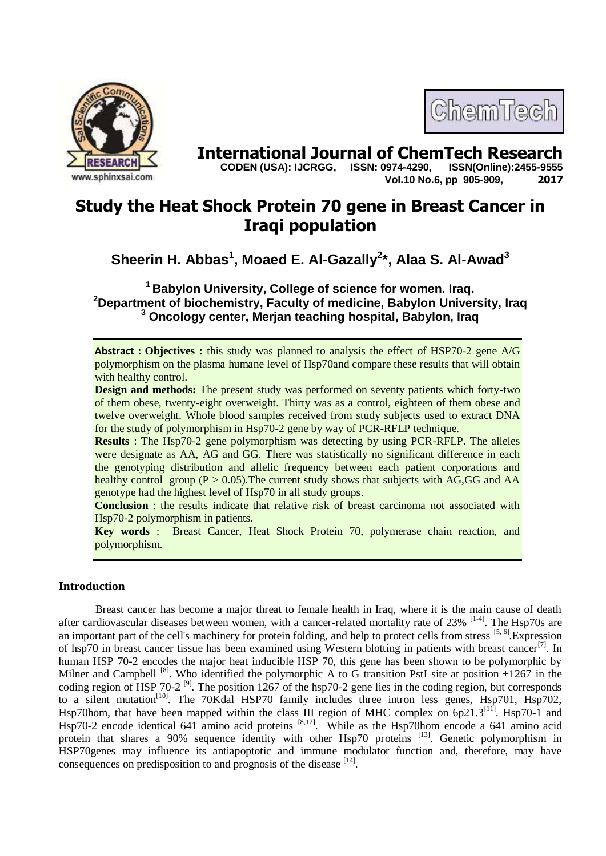

# **International Journal of ChemTech Research CODEN (USA): IJCRGG. ISSN: 0974-4290. ISSN(Online):2455-9555**

 **CODEN (USA): IJCRGG, ISSN: 0974-4290, Vol.10 No.6, pp 905-909, 2017**

ChemTech

## **Study the Heat Shock Protein 70 gene in Breast Cancer in Iraqi population**

### **Sheerin H. Abbas<sup>1</sup> , Moaed E. Al-Gazally<sup>2</sup> \*, Alaa S. Al-Awad<sup>3</sup>**

**<sup>1</sup>Babylon University, College of science for women. Iraq. <sup>2</sup>Department of biochemistry, Faculty of medicine, Babylon University, Iraq <sup>3</sup> Oncology center, Merjan teaching hospital, Babylon, Iraq**

**Abstract : Objectives :** this study was planned to analysis the effect of HSP70-2 gene A/G polymorphism on the plasma humane level of Hsp70and compare these results that will obtain with healthy control.

**Design and methods:** The present study was performed on seventy patients which forty-two of them obese, twenty-eight overweight. Thirty was as a control, eighteen of them obese and twelve overweight. Whole blood samples received from study subjects used to extract DNA for the study of polymorphism in Hsp70-2 gene by way of PCR-RFLP technique.

**Results** : The Hsp70-2 gene polymorphism was detecting by using PCR-RFLP. The alleles were designate as AA, AG and GG. There was statistically no significant difference in each the genotyping distribution and allelic frequency between each patient corporations and healthy control group  $(P > 0.05)$ . The current study shows that subjects with AG, GG and AA genotype had the highest level of Hsp70 in all study groups.

**Conclusion** : the results indicate that relative risk of breast carcinoma not associated with Hsp70-2 polymorphism in patients.

**Key words** : Breast Cancer, Heat Shock Protein 70, polymerase chain reaction, and polymorphism.

#### **Introduction**

Breast cancer has become a major threat to female health in Iraq, where it is the main cause of death after cardiovascular diseases between women, with a cancer-related mortality rate of 23% <sup>[1-4]</sup>. The Hsp70s are an important part of the cell's machinery for protein folding, and help to protect cells from stress  $[5, 6]$ . Expression of hsp70 in breast cancer tissue has been examined using Western blotting in patients with breast cancer<sup>[7]</sup>. In human HSP 70-2 encodes the major heat inducible HSP 70, this gene has been shown to be polymorphic by Milner and Campbell  $[8]$ . Who identified the polymorphic A to G transition PstI site at position +1267 in the coding region of HSP 70-2 <sup>[9]</sup>. The position  $1267$  of the hsp70-2 gene lies in the coding region, but corresponds to a silent mutation<sup>[10]</sup>. The 70Kdal HSP70 family includes three intron less genes, Hsp701, Hsp702, Hsp70hom, that have been mapped within the class III region of MHC complex on  $6p21.3^{[11]}$ . Hsp70-1 and Hsp70-2 encode identical 641 amino acid proteins  $[8,12]$ . While as the Hsp70hom encode a 641 amino acid protein that shares a 90% sequence identity with other Hsp70 proteins <sup>[13]</sup>. Genetic polymorphism in HSP70genes may influence its antiapoptotic and immune modulator function and, therefore, may have consequences on predisposition to and prognosis of the disease [14].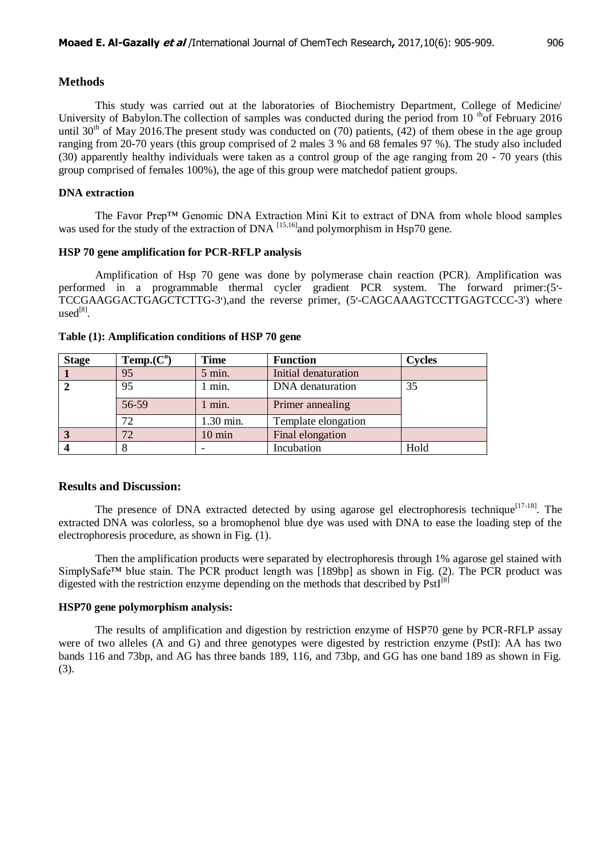#### **Methods**

This study was carried out at the laboratories of Biochemistry Department, College of Medicine/ University of Babylon. The collection of samples was conducted during the period from 10<sup>th</sup> of February 2016 until  $30<sup>th</sup>$  of May 2016. The present study was conducted on (70) patients, (42) of them obese in the age group ranging from 20-70 years (this group comprised of 2 males 3 % and 68 females 97 %). The study also included (30) apparently healthy individuals were taken as a control group of the age ranging from 20 - 70 years (this group comprised of females 100%), the age of this group were matchedof patient groups.

#### **DNA extraction**

The Favor Prep™ Genomic DNA Extraction Mini Kit to extract of DNA from whole blood samples was used for the study of the extraction of DNA  $^{[15,16]}$  and polymorphism in Hsp70 gene.

#### **HSP 70 gene amplification for PCR-RFLP analysis**

Amplification of Hsp 70 gene was done by polymerase chain reaction (PCR). Amplification was performed in a programmable thermal cycler gradient PCR system. The forward primer:(5׳- TCCGAAGGACTGAGCTCTTG-3׳),and the reverse primer, (5׳-CAGCAAAGTCCTTGAGTCCC-3') where  $used^{[8]}$ .

| <b>Stage</b> | Temp(C <sup>o</sup> ) | <b>Time</b>      | <b>Function</b>      | <b>Cycles</b> |
|--------------|-----------------------|------------------|----------------------|---------------|
|              | 95                    | $5$ min.         | Initial denaturation |               |
|              | 95                    | 1 min.           | DNA denaturation     | 35            |
|              | 56-59                 | 1 min.           | Primer annealing     |               |
|              | 72                    | 1.30 min.        | Template elongation  |               |
|              | 72                    | $10 \text{ min}$ | Final elongation     |               |
|              |                       |                  | Incubation           | Hold          |

#### **Table (1): Amplification conditions of HSP 70 gene**

#### **Results and Discussion:**

The presence of DNA extracted detected by using agarose gel electrophoresis technique<sup>[17-18]</sup>. The extracted DNA was colorless, so a bromophenol blue dye was used with DNA to ease the loading step of the electrophoresis procedure, as shown in Fig. (1).

Then the amplification products were separated by electrophoresis through 1% agarose gel stained with SimplySafe<sup>TM</sup> blue stain. The PCR product length was [189bp] as shown in Fig. (2). The PCR product was digested with the restriction enzyme depending on the methods that described by PstI<sup>[8]</sup>

#### **HSP70 gene polymorphism analysis:**

The results of amplification and digestion by restriction enzyme of HSP70 gene by PCR-RFLP assay were of two alleles (A and G) and three genotypes were digested by restriction enzyme (PstI): AA has two bands 116 and 73bp, and AG has three bands 189, 116, and 73bp, and GG has one band 189 as shown in Fig. (3).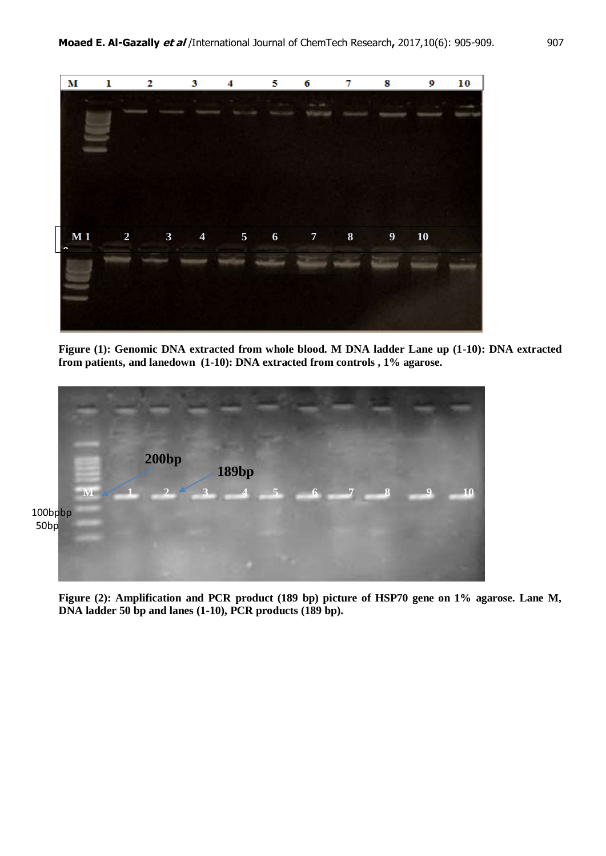

**Figure (1): Genomic DNA extracted from whole blood. M DNA ladder Lane up (1-10): DNA extracted from patients, and lanedown (1-10): DNA extracted from controls , 1% agarose.**



**Figure (2): Amplification and PCR product (189 bp) picture of HSP70 gene on 1% agarose. Lane M, DNA ladder 50 bp and lanes (1-10), PCR products (189 bp).**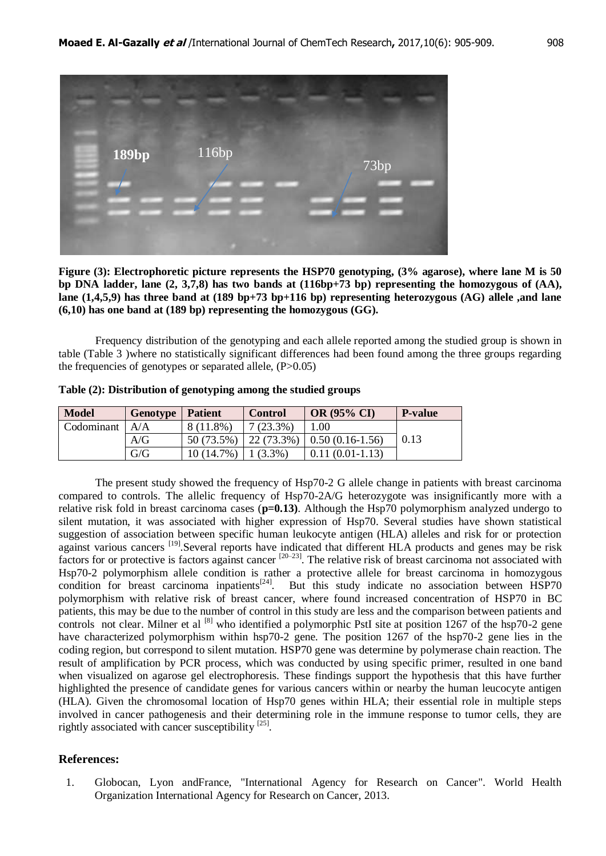

**Figure (3): Electrophoretic picture represents the HSP70 genotyping, (3% agarose), where lane M is 50 bp DNA ladder, lane (2, 3,7,8) has two bands at (116bp+73 bp) representing the homozygous of (AA), lane (1,4,5,9) has three band at (189 bp+73 bp+116 bp) representing heterozygous (AG) allele ,and lane (6,10) has one band at (189 bp) representing the homozygous (GG).**

Frequency distribution of the genotyping and each allele reported among the studied group is shown in table (Table 3 )where no statistically significant differences had been found among the three groups regarding the frequencies of genotypes or separated allele,  $(P>0.05)$ 

| <b>Model</b> | Genotype                          | <b>Patient</b> | <b>Control</b>    | <b>OR (95% CI)</b>      | <b>P-value</b> |
|--------------|-----------------------------------|----------------|-------------------|-------------------------|----------------|
| Codominant   | A/A                               | 8 (11.8%)      | $7(23.3\%)$       | 0.01                    |                |
|              | $\mathop{\rm A}\nolimits/{\rm G}$ | 50 (73.5%)     | $\mid$ 22 (73.3%) | $\mid$ 0.50 (0.16-1.56) | 0.13           |
|              | G/G                               | 10 (14.7%)     | $(3.3\%)$         | $0.11(0.01-1.13)$       |                |

**Table (2): Distribution of genotyping among the studied groups**

The present study showed the frequency of Hsp70-2 G allele change in patients with breast carcinoma compared to controls. The allelic frequency of Hsp70-2A/G heterozygote was insignificantly more with a relative risk fold in breast carcinoma cases ( $p=0.13$ ). Although the Hsp70 polymorphism analyzed undergo to silent mutation, it was associated with higher expression of Hsp70. Several studies have shown statistical suggestion of association between specific human leukocyte antigen (HLA) alleles and risk for or protection against various cancers <sup>[19]</sup>. Several reports have indicated that different HLA products and genes may be risk factors for or protective is factors against cancer [20–23]. The relative risk of breast carcinoma not associated with Hsp70-2 polymorphism allele condition is rather a protective allele for breast carcinoma in homozygous condition for breast carcinoma inpatients<sup>[24]</sup>. But this study indicate no association between HSP70 polymorphism with relative risk of breast cancer, where found increased concentration of HSP70 in BC patients, this may be due to the number of control in this study are less and the comparison between patients and controls not clear. Milner et al  $^{[8]}$  who identified a polymorphic PstI site at position 1267 of the hsp70-2 gene have characterized polymorphism within hsp70-2 gene. The position 1267 of the hsp70-2 gene lies in the coding region, but correspond to silent mutation. HSP70 gene was determine by polymerase chain reaction. The result of amplification by PCR process, which was conducted by using specific primer, resulted in one band when visualized on agarose gel electrophoresis. These findings support the hypothesis that this have further highlighted the presence of candidate genes for various cancers within or nearby the human leucocyte antigen (HLA). Given the chromosomal location of Hsp70 genes within HLA; their essential role in multiple steps involved in cancer pathogenesis and their determining role in the immune response to tumor cells, they are rightly associated with cancer susceptibility [25].

#### **References:**

1. Globocan, Lyon andFrance, "International Agency for Research on Cancer". World Health Organization International Agency for Research on Cancer, 2013.